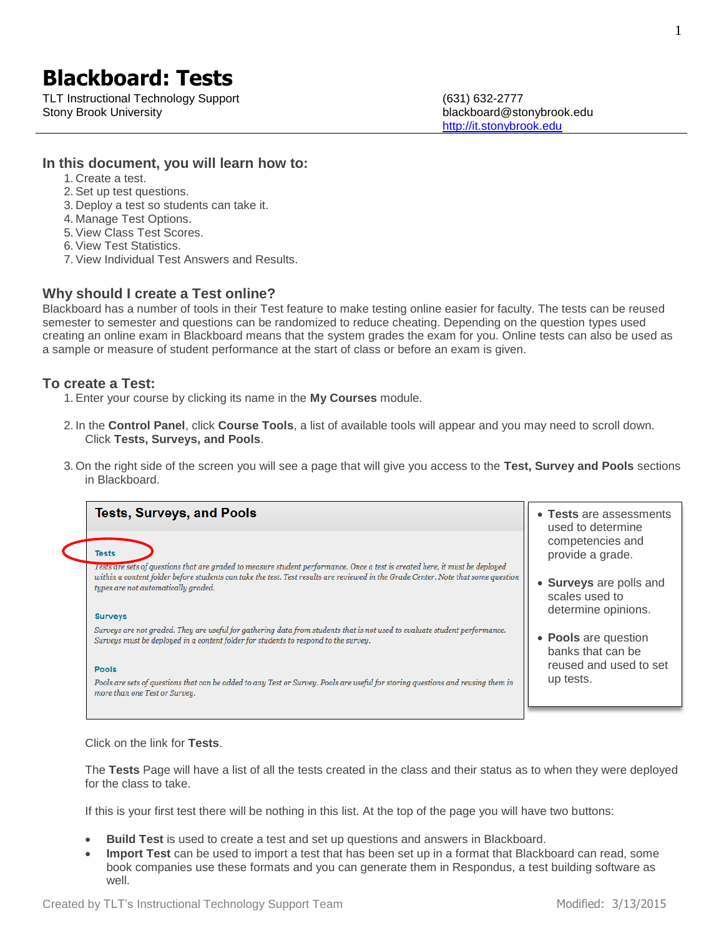# **Blackboard: Tests**

TLT Instructional Technology Support (631) 632-2777 Stony Brook University blackboard@stonybrook.edu

[http://it.stonybrook.edu](http://it.stonybrook.edu/)

#### **In this document, you will learn how to:**

- 1. Create a test.
- 2. Set up test questions.
- 3. Deploy a test so students can take it.
- 4. Manage Test Options.
- 5. View Class Test Scores.
- 6. View Test Statistics.
- 7. View Individual Test Answers and Results.

### **Why should I create a Test online?**

Blackboard has a number of tools in their Test feature to make testing online easier for faculty. The tests can be reused semester to semester and questions can be randomized to reduce cheating. Depending on the question types used creating an online exam in Blackboard means that the system grades the exam for you. Online tests can also be used as a sample or measure of student performance at the start of class or before an exam is given.

### **To create a Test:**

1. Enter your course by clicking its name in the **My Courses** module.

- 2. In the **Control Panel**, click **Course Tools**, a list of available tools will appear and you may need to scroll down. Click **Tests, Surveys, and Pools**.
- 3. On the right side of the screen you will see a page that will give you access to the **Test, Survey and Pools** sections in Blackboard.

| <b>Tests, Surveys, and Pools</b>                                                                                                                                                                                  | • Tests are assessments<br>used to determine                     |
|-------------------------------------------------------------------------------------------------------------------------------------------------------------------------------------------------------------------|------------------------------------------------------------------|
| <b>Tests</b><br>Tests are sets of questions that are graded to measure student performance. Once a test is created here, it must be deployed                                                                      | competencies and<br>provide a grade.                             |
| within a content folder before students can take the test. Test results are reviewed in the Grade Center. Note that some question<br>types are not automatically graded.<br><b>Surveys</b>                        | • Surveys are polls and<br>scales used to<br>determine opinions. |
| Surveys are not graded. They are useful for gathering data from students that is not used to evaluate student performance.<br>Surveys must be deployed in a content folder for students to respond to the survey. | • Pools are question<br>banks that can be                        |
| <b>Pools</b><br>Pools are sets of questions that can be added to any Test or Survey. Pools are useful for storing questions and reusing them in<br>more than one Test or Survey.                                  | reused and used to set<br>up tests.                              |
|                                                                                                                                                                                                                   |                                                                  |

Click on the link for **Tests**.

The **Tests** Page will have a list of all the tests created in the class and their status as to when they were deployed for the class to take.

If this is your first test there will be nothing in this list. At the top of the page you will have two buttons:

- **Build Test** is used to create a test and set up questions and answers in Blackboard.
- **Import Test** can be used to import a test that has been set up in a format that Blackboard can read, some book companies use these formats and you can generate them in Respondus, a test building software as well.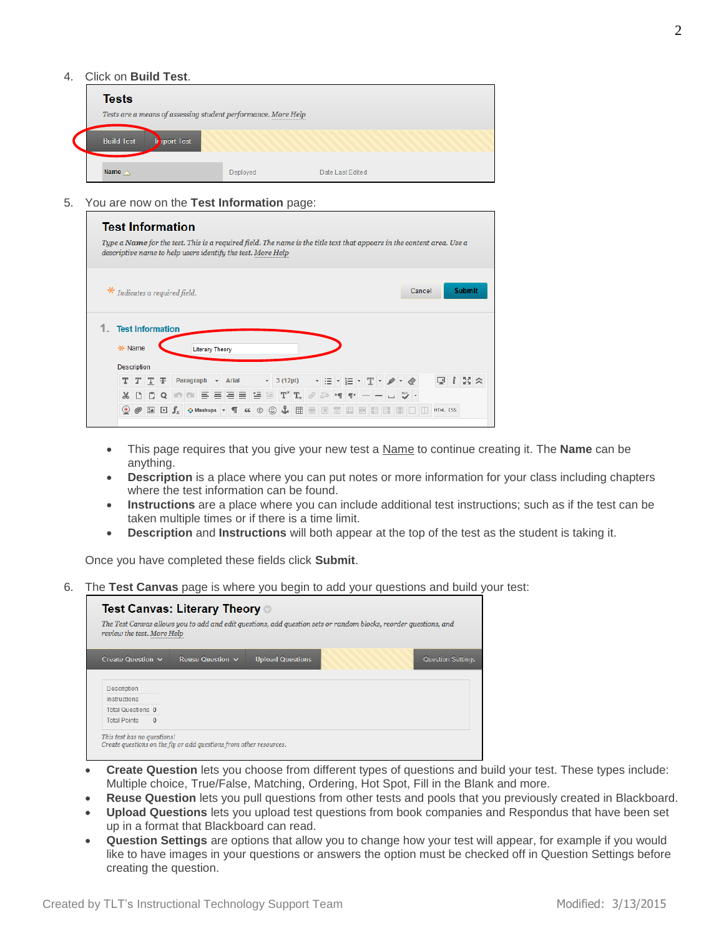#### 4. Click on **Build Test**.

| <b>Tests</b>                                                  |          |                  |
|---------------------------------------------------------------|----------|------------------|
| Tests are a means of assessing student performance. More Help |          |                  |
| <b>Build Test</b><br><b>Iport Test</b>                        |          |                  |
| Name $\triangle$                                              | Deployed | Date Last Edited |

5. You are now on the **Test Information** page:

|                                                  |   |                      |                                          | <b>Test Information</b><br>Type a Name for the test. This is a required field. The name is the title text that appears in the content area. Use a<br>descriptive name to help users identify the test. More Help |           |                        |                          |       |  |              |                                                               |    |    |   |               |   |  |  |        |          |               |  |
|--------------------------------------------------|---|----------------------|------------------------------------------|------------------------------------------------------------------------------------------------------------------------------------------------------------------------------------------------------------------|-----------|------------------------|--------------------------|-------|--|--------------|---------------------------------------------------------------|----|----|---|---------------|---|--|--|--------|----------|---------------|--|
|                                                  |   |                      |                                          | Indicates a required field.                                                                                                                                                                                      |           |                        |                          |       |  |              |                                                               |    |    |   |               |   |  |  | Cancel |          | <b>Submit</b> |  |
| <b>Test Information</b><br>* Name<br>Description |   |                      |                                          |                                                                                                                                                                                                                  |           | <b>Literary Theory</b> |                          |       |  |              |                                                               |    |    |   |               |   |  |  |        |          |               |  |
|                                                  |   | $T$ T $\overline{T}$ |                                          |                                                                                                                                                                                                                  | Paragraph |                        | $\overline{\phantom{a}}$ | Arial |  | $\mathbf{v}$ | 3(12pt)                                                       |    |    |   | * 표 * 토 * 포 * |   |  |  |        | ç        | $33 \times$   |  |
| $\chi$                                           | n | n                    | Q                                        |                                                                                                                                                                                                                  |           |                        |                          |       |  |              |                                                               |    |    |   |               |   |  |  |        |          |               |  |
| $\circled{\scriptstyle\bullet}$                  |   |                      | $\mathbf{L}$ $\mathbf{L}$ $\mathbf{J}_x$ |                                                                                                                                                                                                                  |           |                        |                          |       |  |              | $\bullet$ Mashups $\bullet$ $\P$ 66 $\circ$ $\circ$ $\bullet$ | 田田 | H. | m | 脚             | Ħ |  |  |        | HTML CSS |               |  |

- This page requires that you give your new test a Name to continue creating it. The **Name** can be anything.
- **Description** is a place where you can put notes or more information for your class including chapters where the test information can be found.
- **Instructions** are a place where you can include additional test instructions; such as if the test can be taken multiple times or if there is a time limit.
- **Description** and **Instructions** will both appear at the top of the test as the student is taking it.

Once you have completed these fields click **Submit**.

6. The **Test Canvas** page is where you begin to add your questions and build your test:

| Test Canvas: Literary Theory ◎<br>The Test Canvas allows you to add and edit questions, add question sets or random blocks, reorder questions, and<br>review the test. More Help |                                                                    |                         |  |                   |  |  |  |  |  |  |  |
|----------------------------------------------------------------------------------------------------------------------------------------------------------------------------------|--------------------------------------------------------------------|-------------------------|--|-------------------|--|--|--|--|--|--|--|
| Create Question $\sim$                                                                                                                                                           | Reuse Question $\sim$                                              | <b>Upload Questions</b> |  | Question Settings |  |  |  |  |  |  |  |
| Description                                                                                                                                                                      |                                                                    |                         |  |                   |  |  |  |  |  |  |  |
| Instructions                                                                                                                                                                     |                                                                    |                         |  |                   |  |  |  |  |  |  |  |
| Total Questions 0                                                                                                                                                                |                                                                    |                         |  |                   |  |  |  |  |  |  |  |
| <b>Total Points</b><br>$\Omega$                                                                                                                                                  |                                                                    |                         |  |                   |  |  |  |  |  |  |  |
| This test has no questions!                                                                                                                                                      | Create questions on the fly or add questions from other resources. |                         |  |                   |  |  |  |  |  |  |  |

- **Create Question** lets you choose from different types of questions and build your test. These types include: Multiple choice, True/False, Matching, Ordering, Hot Spot, Fill in the Blank and more.
- **Reuse Question** lets you pull questions from other tests and pools that you previously created in Blackboard.
- **Upload Questions** lets you upload test questions from book companies and Respondus that have been set up in a format that Blackboard can read.
- **Question Settings** are options that allow you to change how your test will appear, for example if you would like to have images in your questions or answers the option must be checked off in Question Settings before creating the question.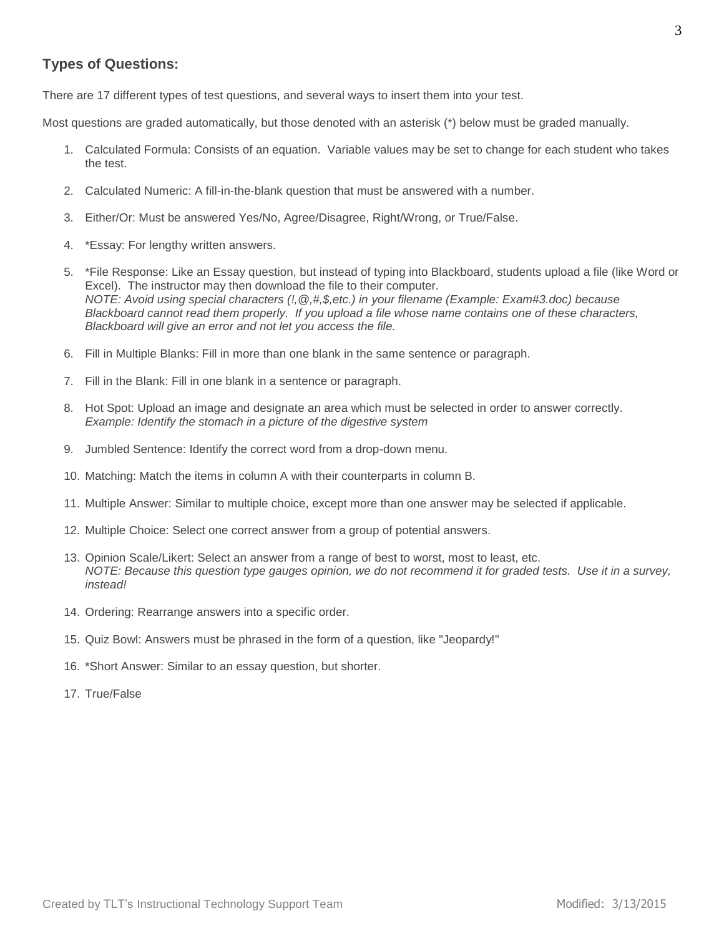# **Types of Questions:**

There are 17 different types of test questions, and several ways to insert them into your test.

Most questions are graded automatically, but those denoted with an asterisk (\*) below must be graded manually.

- 1. Calculated Formula: Consists of an equation. Variable values may be set to change for each student who takes the test.
- 2. Calculated Numeric: A fill-in-the-blank question that must be answered with a number.
- 3. Either/Or: Must be answered Yes/No, Agree/Disagree, Right/Wrong, or True/False.
- 4. \*Essay: For lengthy written answers.
- 5. \*File Response: Like an Essay question, but instead of typing into Blackboard, students upload a file (like Word or Excel). The instructor may then download the file to their computer. *NOTE: Avoid using special characters (!,@,#,\$,etc.) in your filename (Example: Exam#3.doc) because Blackboard cannot read them properly. If you upload a file whose name contains one of these characters, Blackboard will give an error and not let you access the file.*
- 6. Fill in Multiple Blanks: Fill in more than one blank in the same sentence or paragraph.
- 7. Fill in the Blank: Fill in one blank in a sentence or paragraph.
- 8. Hot Spot: Upload an image and designate an area which must be selected in order to answer correctly. *Example: Identify the stomach in a picture of the digestive system*
- 9. Jumbled Sentence: Identify the correct word from a drop-down menu.
- 10. Matching: Match the items in column A with their counterparts in column B.
- 11. Multiple Answer: Similar to multiple choice, except more than one answer may be selected if applicable.
- 12. Multiple Choice: Select one correct answer from a group of potential answers.
- 13. Opinion Scale/Likert: Select an answer from a range of best to worst, most to least, etc. *NOTE: Because this question type gauges opinion, we do not recommend it for graded tests. Use it in a survey, instead!*
- 14. Ordering: Rearrange answers into a specific order.
- 15. Quiz Bowl: Answers must be phrased in the form of a question, like "Jeopardy!"
- 16. \*Short Answer: Similar to an essay question, but shorter.
- 17. True/False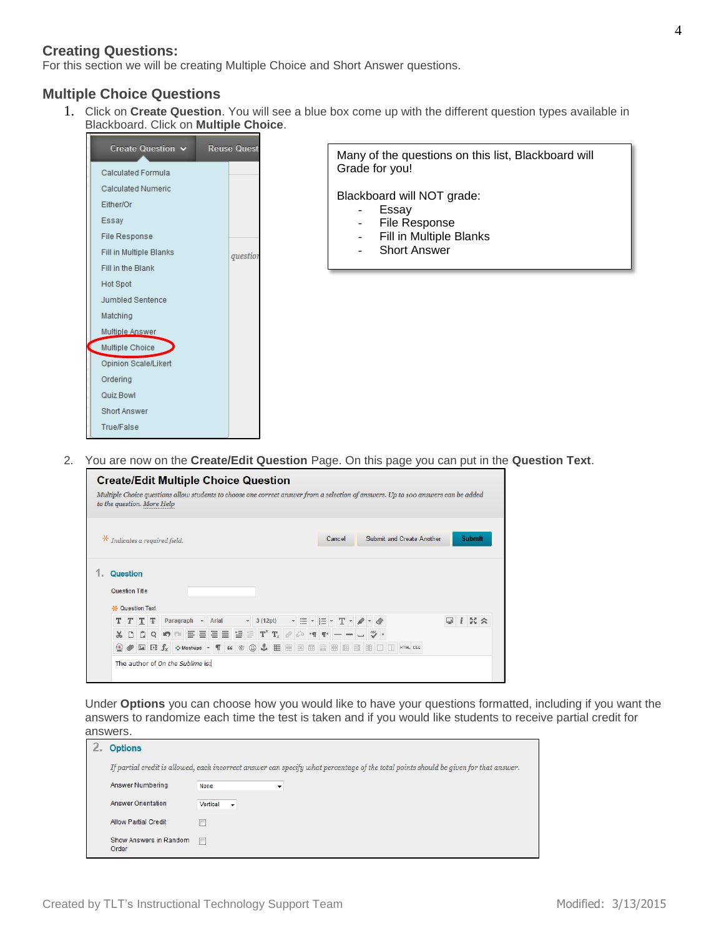# **Creating Questions:**

For this section we will be creating Multiple Choice and Short Answer questions.

## **Multiple Choice Questions**

1. Click on **Create Question**. You will see a blue box come up with the different question types available in Blackboard. Click on **Multiple Choice**.



2. You are now on the **Create/Edit Question** Page. On this page you can put in the **Question Text**.

| <b>Create/Edit Multiple Choice Question</b>                                                                                                                                                             |                                     |                           |                  |
|---------------------------------------------------------------------------------------------------------------------------------------------------------------------------------------------------------|-------------------------------------|---------------------------|------------------|
| Multiple Choice questions allow students to choose one correct answer from a selection of answers. Up to 100 answers can be added<br>to the question. More Help                                         |                                     |                           |                  |
| $*$ Indicates a required field.                                                                                                                                                                         | Cancel                              | Submit and Create Another | <b>Submit</b>    |
| <b>Question</b><br><b>Question Title</b><br><b>X</b> Question Text                                                                                                                                      |                                     |                           |                  |
| TTTF<br>Paragraph<br>- Arial                                                                                                                                                                            | → HE → HE → T → A → A<br>$-3(12pt)$ | ⊵                         | $33 \times$<br>i |
| 마이아이 리드 리드 모드 파파 기사에 빠르르니까~<br>$\mathsf{X}$                                                                                                                                                             |                                     |                           |                  |
| $\circledcirc \mathscr{O}$ Ex $\mathbb{F}_X$ $\circ$ Mashups $\overline{\phantom{a}}$ T $\phantom{a}$ $\circledcirc \circledcirc \mathscr{L}$ . Hence the energy energy energy $\overline{\phantom{a}}$ |                                     |                           |                  |
| The author of On the Sublime is:                                                                                                                                                                        |                                     |                           |                  |

Under **Options** you can choose how you would like to have your questions formatted, including if you want the answers to randomize each time the test is taken and if you would like students to receive partial credit for answers.

| <b>Options</b>                  |                                                                                                                                      |
|---------------------------------|--------------------------------------------------------------------------------------------------------------------------------------|
|                                 | If partial credit is allowed, each incorrect answer can specify what percentage of the total points should be given for that answer. |
| Answer Numbering                | None<br>▼                                                                                                                            |
| <b>Answer Orientation</b>       | Vertical<br>$\rightarrow$                                                                                                            |
| <b>Allow Partial Credit</b>     |                                                                                                                                      |
| Show Answers in Random<br>Order | m                                                                                                                                    |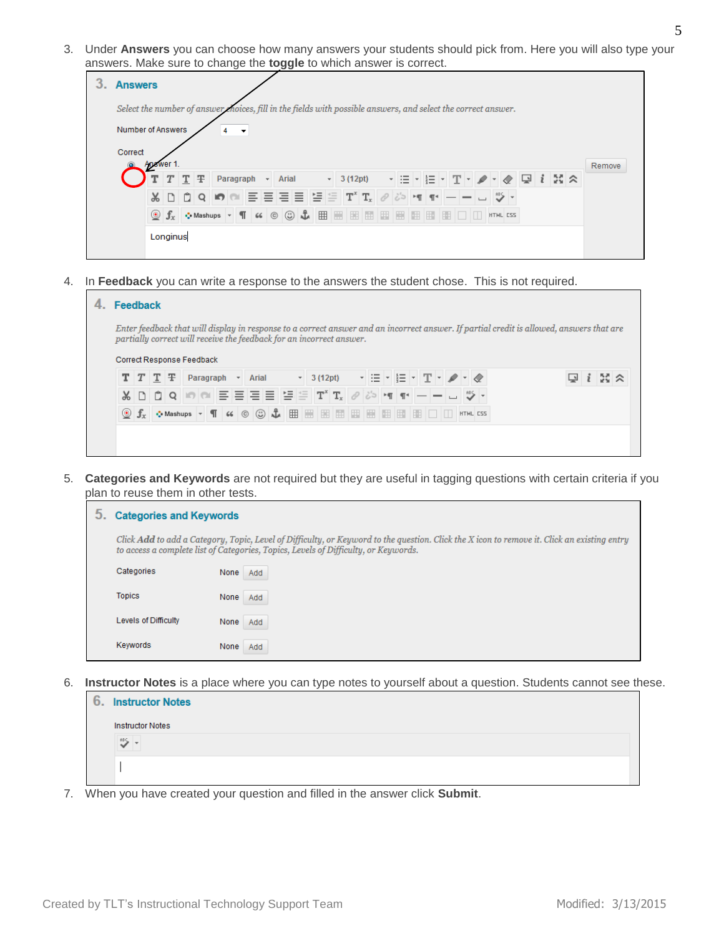3. Under **Answers** you can choose how many answers your students should pick from. Here you will also type your answers. Make sure to change the **toggle** to which answer is correct.

| <b>Answers</b>                                                                                                                                                                                                                                    |        |
|---------------------------------------------------------------------------------------------------------------------------------------------------------------------------------------------------------------------------------------------------|--------|
| Select the number of answer moices, fill in the fields with possible answers, and select the correct answer.                                                                                                                                      |        |
| Number of Answers<br>$\overline{\phantom{a}}$                                                                                                                                                                                                     |        |
| Correct                                                                                                                                                                                                                                           |        |
| Answer 1.<br>- HE- HE- T- A - K 및 I X A<br>Ŧ<br>Paragraph<br>$T$ T<br>- Arial<br>$-3(12pt)$                                                                                                                                                       | Remove |
| 로트트트 '트로 T' T, 2 2 에 11 - - - - ヴ<br>DDQDO<br>$\mathbb{R}^-$                                                                                                                                                                                      |        |
| Of $f_x$ $\circ$ Mashups $\overline{\phantom{a}}$ ( $\circ$ $\circ$ $\circ$ $\overline{\phantom{a}}$ $\boxplus$ $\boxplus$ $\boxplus$ $\boxplus$ $\boxplus$ $\boxplus$ $\boxplus$ $\boxplus$ $\boxplus$ $\Box$ $\Box$ $\Box$ $\Box$ $\Box$ $\Box$ |        |
| Longinus                                                                                                                                                                                                                                          |        |
|                                                                                                                                                                                                                                                   |        |

4. In **Feedback** you can write a response to the answers the student chose. This is not required.

| 4. | <b>Feedback</b>                                                                                  |  |  |  |  |  |  |                                                                                                                                                                                   |                                                                                                                                                                                                                                                                                                                                                                                                                                                               |  |  |  |  |  |  |  |  |  |  |      |  |  |                                                                                                                                          |  |  |
|----|--------------------------------------------------------------------------------------------------|--|--|--|--|--|--|-----------------------------------------------------------------------------------------------------------------------------------------------------------------------------------|---------------------------------------------------------------------------------------------------------------------------------------------------------------------------------------------------------------------------------------------------------------------------------------------------------------------------------------------------------------------------------------------------------------------------------------------------------------|--|--|--|--|--|--|--|--|--|--|------|--|--|------------------------------------------------------------------------------------------------------------------------------------------|--|--|
|    | partially correct will receive the feedback for an incorrect answer.                             |  |  |  |  |  |  |                                                                                                                                                                                   |                                                                                                                                                                                                                                                                                                                                                                                                                                                               |  |  |  |  |  |  |  |  |  |  |      |  |  | Enter feedback that will display in response to a correct answer and an incorrect answer. If partial credit is allowed, answers that are |  |  |
|    | Correct Response Feedback<br>$T$ $T$ $T$ $\mp$<br>Paragraph<br>Arial<br>$\overline{\phantom{a}}$ |  |  |  |  |  |  | $\mathbf{r}$ 3 (12pt) $\mathbf{r}$ $\mathbf{r}$ $\mathbf{r}$ $\mathbf{r}$ $\mathbf{r}$ $\mathbf{r}$ $\mathbf{r}$ $\mathbf{r}$ $\mathbf{r}$ $\mathbf{r}$ $\mathbf{r}$ $\mathbf{r}$ |                                                                                                                                                                                                                                                                                                                                                                                                                                                               |  |  |  |  |  |  |  |  |  |  | 55 2 |  |  |                                                                                                                                          |  |  |
|    |                                                                                                  |  |  |  |  |  |  |                                                                                                                                                                                   | ᇮ ㅁ ㅁ ㅇ  ㅇ  ㅇ  ㄹ ㄹ ㄹ ㅌ 'ㅌ ㅌ 'ㅍ' ㅠ, @  ¿>  ㅋ  ㅠ ㅡ ㅡ ㅡ   "♡ ㅜ                                                                                                                                                                                                                                                                                                                                                                                                   |  |  |  |  |  |  |  |  |  |  |      |  |  |                                                                                                                                          |  |  |
|    |                                                                                                  |  |  |  |  |  |  |                                                                                                                                                                                   | $\circledcirc$ $f_x$ $\circ$ Mashups $\overline{\phantom{a}}$ $\overline{\phantom{a}}$ $\overline{\phantom{a}}$ $\circledcirc$ $\circledcirc$ $\overline{\phantom{a}}$ $\overline{\phantom{a}}$ $\overline{\phantom{a}}$ $\overline{\phantom{a}}$ $\overline{\phantom{a}}$ $\overline{\phantom{a}}$ $\overline{\phantom{a}}$ $\overline{\phantom{a}}$ $\overline{\phantom{a}}$ $\overline{\phantom{a}}$ $\overline{\phantom{a}}$ $\overline{\phantom{a}}$ $\$ |  |  |  |  |  |  |  |  |  |  |      |  |  |                                                                                                                                          |  |  |
|    |                                                                                                  |  |  |  |  |  |  |                                                                                                                                                                                   |                                                                                                                                                                                                                                                                                                                                                                                                                                                               |  |  |  |  |  |  |  |  |  |  |      |  |  |                                                                                                                                          |  |  |
|    |                                                                                                  |  |  |  |  |  |  |                                                                                                                                                                                   |                                                                                                                                                                                                                                                                                                                                                                                                                                                               |  |  |  |  |  |  |  |  |  |  |      |  |  |                                                                                                                                          |  |  |

5. **Categories and Keywords** are not required but they are useful in tagging questions with certain criteria if you plan to reuse them in other tests.

| <b>Categories and Keywords</b> |                                                                                                                                                                                                                                    |
|--------------------------------|------------------------------------------------------------------------------------------------------------------------------------------------------------------------------------------------------------------------------------|
|                                | Click Add to add a Category, Topic, Level of Difficulty, or Keyword to the question. Click the X icon to remove it. Click an existing entry<br>to access a complete list of Categories, Topics, Levels of Difficulty, or Keywords. |
| Categories                     | None<br>Add                                                                                                                                                                                                                        |
| <b>Topics</b>                  | None<br>Add                                                                                                                                                                                                                        |
| Levels of Difficulty           | None<br>Add                                                                                                                                                                                                                        |
| Kewwords                       | None<br>Add                                                                                                                                                                                                                        |

6. **Instructor Notes** is a place where you can type notes to yourself about a question. Students cannot see these.

| 6. | <b>Instructor Notes</b> |
|----|-------------------------|
|    | <b>Instructor Notes</b> |
|    | 185                     |
|    |                         |
|    |                         |

7. When you have created your question and filled in the answer click **Submit**.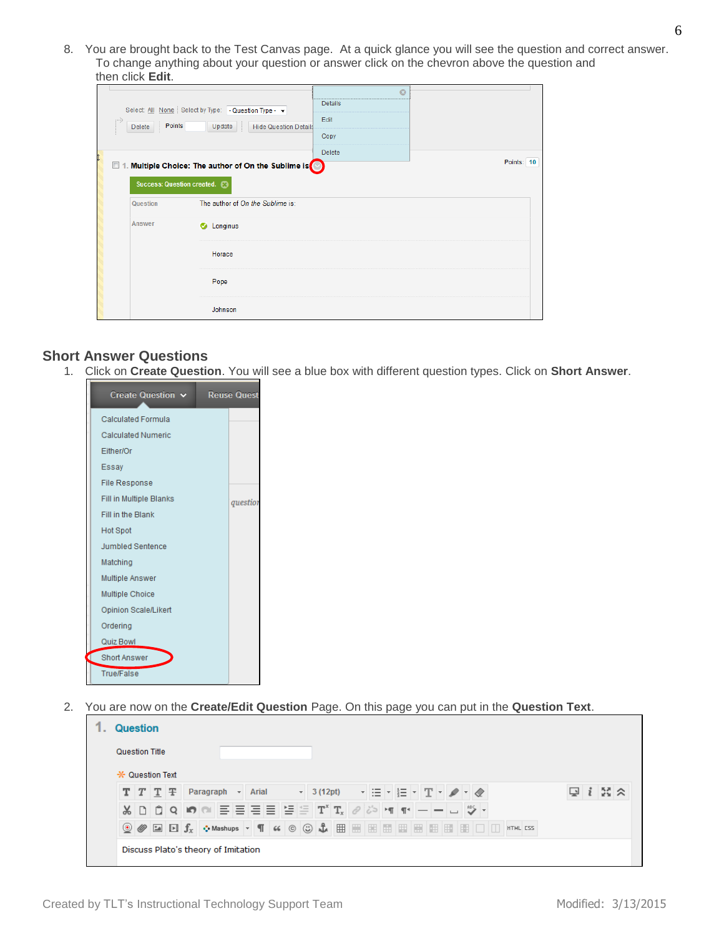8. You are brought back to the Test Canvas page. At a quick glance you will see the question and correct answer. To change anything about your question or answer click on the chevron above the question and then click **Edit**.

| Points<br>Delete<br>$\Box$<br>Success: Question created. <sup>3</sup> | Select All None Select by Type: - Question Type - v<br>Update<br><b>Hide Question Details</b><br>1. Multiple Choice: The author of On the Sublime is | $\odot$<br><b>Details</b><br>Edit<br>Copy<br>Delete | Points: 10 |
|-----------------------------------------------------------------------|------------------------------------------------------------------------------------------------------------------------------------------------------|-----------------------------------------------------|------------|
| Question                                                              | The author of On the Sublime is:                                                                                                                     |                                                     |            |
| Answer                                                                | C Longinus                                                                                                                                           |                                                     |            |
|                                                                       | Horace                                                                                                                                               |                                                     |            |
|                                                                       | Pope                                                                                                                                                 |                                                     |            |
|                                                                       | Johnson                                                                                                                                              |                                                     |            |

## **Short Answer Questions**

1. Click on **Create Question**. You will see a blue box with different question types. Click on **Short Answer**.

| Create Question $\vee$         | <b>Reuse Questi</b> |
|--------------------------------|---------------------|
| <b>Calculated Formula</b>      |                     |
| <b>Calculated Numeric</b>      |                     |
| Either/Or                      |                     |
| Essay                          |                     |
| <b>File Response</b>           |                     |
| <b>Fill in Multiple Blanks</b> | question            |
| Fill in the Blank              |                     |
| <b>Hot Spot</b>                |                     |
| <b>Jumbled Sentence</b>        |                     |
| Matching                       |                     |
| Multiple Answer                |                     |
| <b>Multiple Choice</b>         |                     |
| Opinion Scale/Likert           |                     |
| Ordering                       |                     |
| Quiz Bowl                      |                     |
| <b>Short Answer</b>            |                     |
| <b>True/False</b>              |                     |

2. You are now on the **Create/Edit Question** Page. On this page you can put in the **Question Text**.

|  | Question Title         |           |                                |            |  |  |  |                      |  |         |       |  |
|--|------------------------|-----------|--------------------------------|------------|--|--|--|----------------------|--|---------|-------|--|
|  | <b>X</b> Question Text |           |                                |            |  |  |  |                      |  |         |       |  |
|  | $T$ $T$ $T$ $\mp$      | Paragraph | $\overline{\phantom{a}}$ Arial | $-3(12pt)$ |  |  |  | HE HE HT HA H $\ell$ |  | نتا اسا | -ಟಿ ৯ |  |
|  |                        |           |                                |            |  |  |  |                      |  |         |       |  |
|  |                        |           |                                |            |  |  |  |                      |  |         |       |  |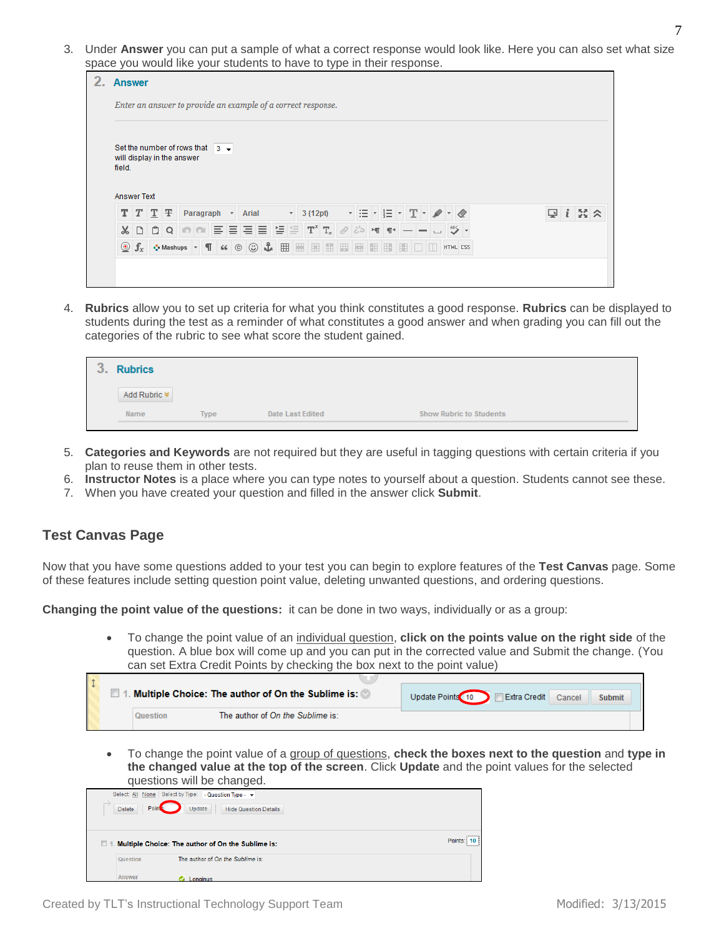3. Under **Answer** you can put a sample of what a correct response would look like. Here you can also set what size space you would like your students to have to type in their response.

| 2. | <b>Answer</b>                                                                                                                    |  |
|----|----------------------------------------------------------------------------------------------------------------------------------|--|
|    | Enter an answer to provide an example of a correct response.                                                                     |  |
|    | Set the number of rows that $3 -$<br>will display in the answer<br>field.<br><b>Answer Text</b>                                  |  |
|    | $i \approx \approx$<br>$T$ $T$ $T$ $F$<br>▼ 三 ▼ 포 ▼<br>十三<br>⊡<br>Paragraph<br>$\mathbf{A}$ Arial<br>$-$ 3 (12pt)                |  |
|    | $  \phi  _2  \equiv  \equiv  \equiv  \equiv  \Gamma^x \mathbf{T}_x  _2  \phi  _2$ [세 11]<br>$\frac{AB\zeta}{2}$ +<br><b>XDDQ</b> |  |
|    | ◇Mashups ▼ ¶ 66 © © ↓ 囲 囲 囲 囲 囲 囲 囲 囲<br>$\odot$ $f_x$<br><b>EE Q Q</b><br>HTML CSS                                              |  |
|    |                                                                                                                                  |  |

4. **Rubrics** allow you to set up criteria for what you think constitutes a good response. **Rubrics** can be displayed to students during the test as a reminder of what constitutes a good answer and when grading you can fill out the categories of the rubric to see what score the student gained.

| $\sqrt{2}$<br>ັ | <b>Rubrics</b> |             |                         |                                |
|-----------------|----------------|-------------|-------------------------|--------------------------------|
|                 | Add Rubric $*$ |             |                         |                                |
|                 | Name           | <b>Type</b> | <b>Date Last Edited</b> | <b>Show Rubric to Students</b> |

- 5. **Categories and Keywords** are not required but they are useful in tagging questions with certain criteria if you plan to reuse them in other tests.
- 6. **Instructor Notes** is a place where you can type notes to yourself about a question. Students cannot see these.
- 7. When you have created your question and filled in the answer click **Submit**.

# **Test Canvas Page**

Now that you have some questions added to your test you can begin to explore features of the **Test Canvas** page. Some of these features include setting question point value, deleting unwanted questions, and ordering questions.

**Changing the point value of the questions:** it can be done in two ways, individually or as a group:

 To change the point value of an individual question, **click on the points value on the right side** of the question. A blue box will come up and you can put in the corrected value and Submit the change. (You can set Extra Credit Points by checking the box next to the point value)

|          | 1. Multiple Choice: The author of On the Sublime is: 0 | Update Points 10 Extra Credit Cancel<br><b>Submit</b> |
|----------|--------------------------------------------------------|-------------------------------------------------------|
| Question | The author of On the Sublime is:                       |                                                       |

 To change the point value of a group of questions, **check the boxes next to the question** and **type in the changed value at the top of the screen**. Click **Update** and the point values for the selected questions will be changed.

|          |                        | quootiono will bo onangoa.                                   |  |
|----------|------------------------|--------------------------------------------------------------|--|
|          |                        | Select: All None Select by Type: - Question Type - v         |  |
| 1.1111   | Point<br><b>Delete</b> | Update<br><b>Hide Question Details</b>                       |  |
| $\Box$ 1 |                        | Points:<br>Multiple Choice: The author of On the Sublime is: |  |
|          | Question               | The author of On the Sublime is:                             |  |
|          | Answer                 | Longinus                                                     |  |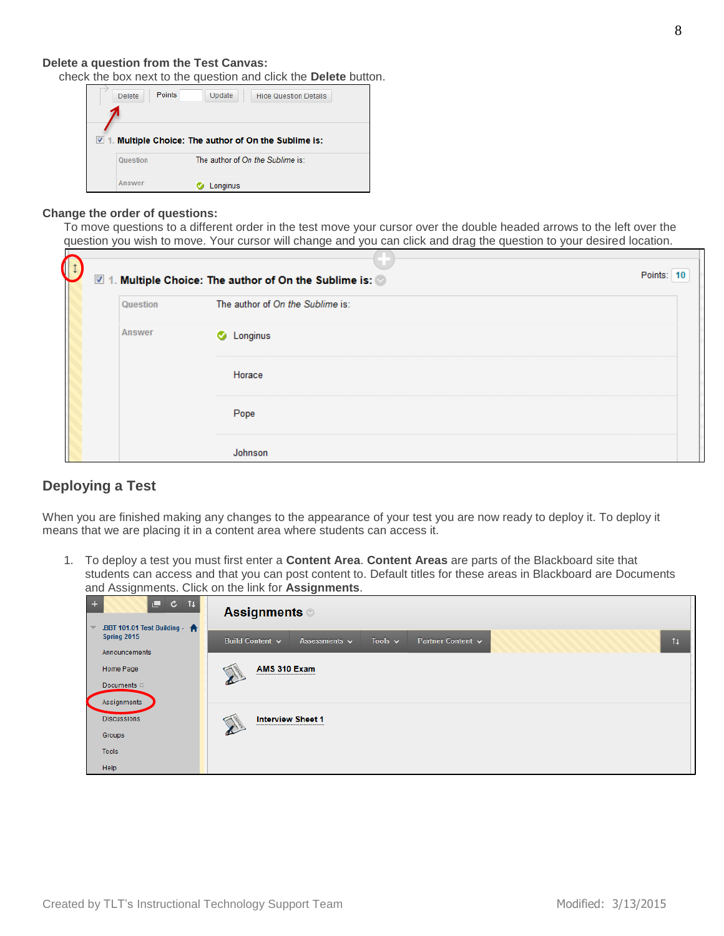#### **Delete a question from the Test Canvas:**

check the box next to the question and click the **Delete** button.

|             | <b>Delete</b> | Points | Update   | <b>Hide Question Details</b>                      |  |
|-------------|---------------|--------|----------|---------------------------------------------------|--|
|             |               |        |          |                                                   |  |
|             |               |        |          |                                                   |  |
| $\nabla$ 1. |               |        |          | Multiple Choice: The author of On the Sublime is: |  |
|             | Question      |        |          | The author of On the Sublime is:                  |  |
|             | <b>Answer</b> |        |          |                                                   |  |
|             |               |        | Longinus |                                                   |  |

#### **Change the order of questions:**

To move questions to a different order in the test move your cursor over the double headed arrows to the left over the question you wish to move. Your cursor will change and you can click and drag the question to your desired location.

| G | Question | 7 1. Multiple Choice: The author of On the Sublime is:<br>The author of On the Sublime is: | Points: 10 |
|---|----------|--------------------------------------------------------------------------------------------|------------|
|   | Answer   | Longinus<br>۰                                                                              |            |
|   |          | Horace                                                                                     |            |
|   |          | Pope                                                                                       |            |
|   |          | Johnson                                                                                    |            |

# **Deploying a Test**

When you are finished making any changes to the appearance of your test you are now ready to deploy it. To deploy it means that we are placing it in a content area where students can access it.

1. To deploy a test you must first enter a **Content Area**. **Content Areas** are parts of the Blackboard site that students can access and that you can post content to. Default titles for these areas in Blackboard are Documents and Assignments. Click on the link for **Assignments**.

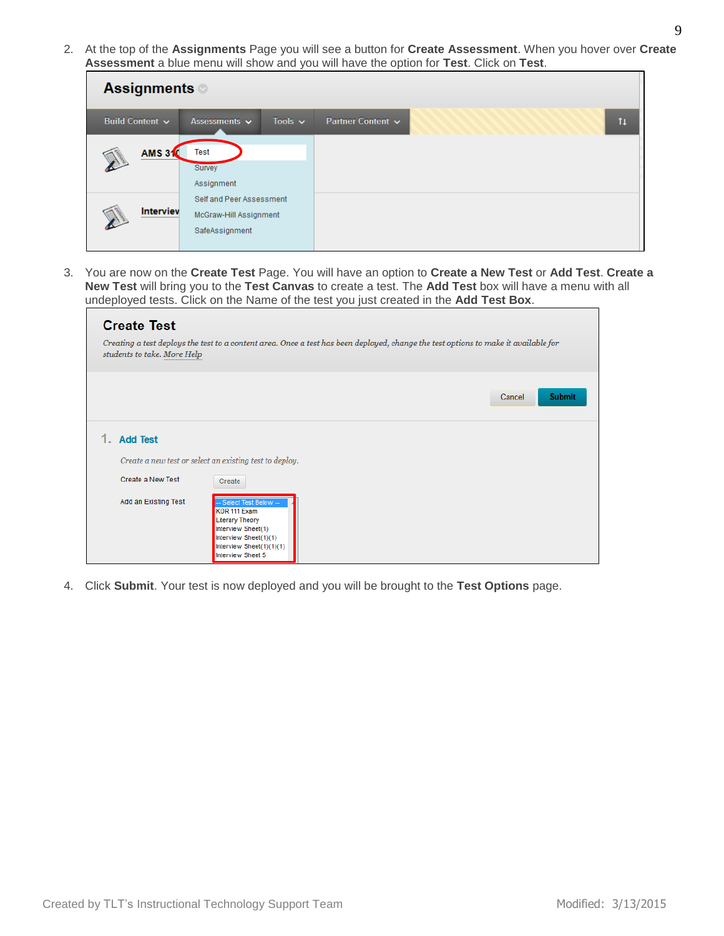2. At the top of the **Assignments** Page you will see a button for **Create Assessment**. When you hover over **Create Assessment** a blue menu will show and you will have the option for **Test**. Click on **Test**.

| <b>Assignments</b>   |                                                                      |                              |
|----------------------|----------------------------------------------------------------------|------------------------------|
| Build Content v      | Tools $\sim$<br>Assessments $\sim$                                   | Partner Content $\sim$<br>11 |
| <b>AMS 310</b><br>   | <b>Test</b><br>Survey<br>Assignment                                  |                              |
| <b>Interviev</b><br> | Self and Peer Assessment<br>McGraw-Hill Assignment<br>SafeAssignment |                              |

3. You are now on the **Create Test** Page. You will have an option to **Create a New Test** or **Add Test**. **Create a New Test** will bring you to the **Test Canvas** to create a test. The **Add Test** box will have a menu with all undeployed tests. Click on the Name of the test you just created in the **Add Test Box**.

| <b>Create Test</b><br>students to take. More Help            | Creating a test deploys the test to a content area. Once a test has been deployed, change the test options to make it available for                                                                                                      |                         |
|--------------------------------------------------------------|------------------------------------------------------------------------------------------------------------------------------------------------------------------------------------------------------------------------------------------|-------------------------|
|                                                              |                                                                                                                                                                                                                                          | <b>Submit</b><br>Cancel |
| <b>Add Test</b><br>Create a New Test<br>Add an Existing Test | Create a new test or select an existing test to deploy.<br>Create<br>- Select Test Below --<br>KOR 111 Exam<br><b>Literary Theory</b><br>Interview Sheet(1)<br>Interview Sheet(1)(1)<br>Interview Sheet $(1)(1)(1)$<br>Interview Sheet 5 |                         |

4. Click **Submit**. Your test is now deployed and you will be brought to the **Test Options** page.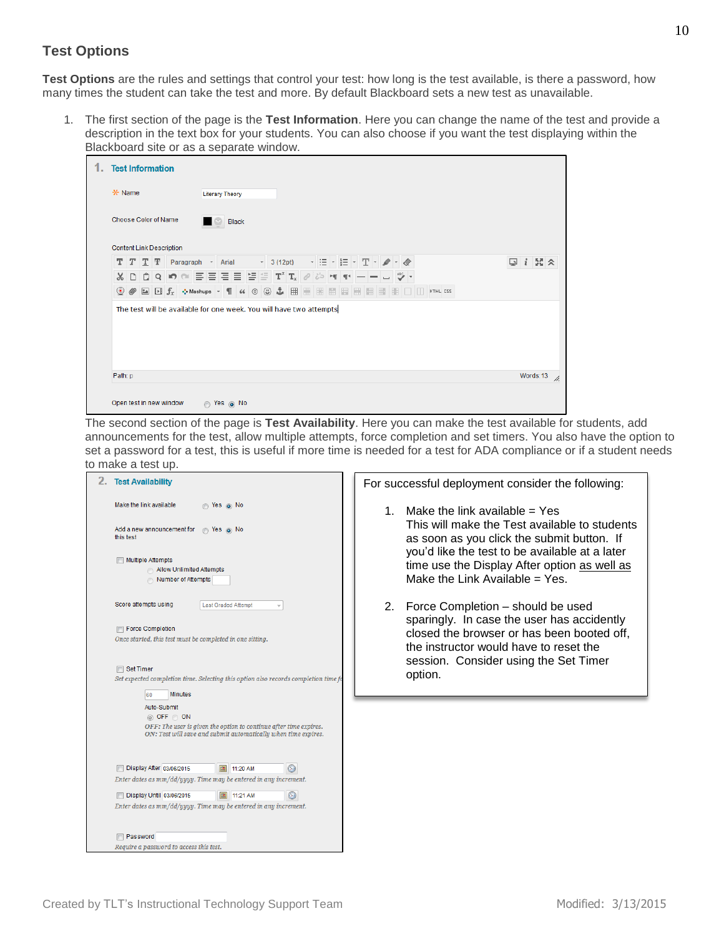# **Test Options**

Test Options are the rules and settings that control your test: how long is the test available, is there a password, how many times the student can take the test and more. By default Blackboard sets a new test as unavailable.

1. The first section of the page is the **Test Information**. Here you can change the name of the test and provide a description in the text box for your students. You can also choose if you want the test displaying within the Blackboard site or as a separate window.

| <b>Test Information</b>         |                                                                     |  |  |  |                        |       |  |  |  |  |                                                                                                                                                          |  |  |  |  |  |  |  |   |                   |  |
|---------------------------------|---------------------------------------------------------------------|--|--|--|------------------------|-------|--|--|--|--|----------------------------------------------------------------------------------------------------------------------------------------------------------|--|--|--|--|--|--|--|---|-------------------|--|
| * Name                          |                                                                     |  |  |  | <b>Literary Theory</b> |       |  |  |  |  |                                                                                                                                                          |  |  |  |  |  |  |  |   |                   |  |
| Choose Color of Name            |                                                                     |  |  |  |                        | Black |  |  |  |  |                                                                                                                                                          |  |  |  |  |  |  |  |   |                   |  |
| <b>Content Link Description</b> |                                                                     |  |  |  |                        |       |  |  |  |  |                                                                                                                                                          |  |  |  |  |  |  |  |   |                   |  |
|                                 | $T$ $T$ $T$ $T$ Paragraph $\rightarrow$ Arial                       |  |  |  |                        |       |  |  |  |  | $\mathbf{r}$ 3 (12pt) $\mathbf{r}$ $\equiv$ $\mathbf{r}$ $\equiv$ $\mathbf{r}$ $\equiv$ $\mathbf{r}$ $\mathbf{T}$ $\mathbf{r}$ $\mathbf{r}$ $\mathbf{r}$ |  |  |  |  |  |  |  | Ç | $i \times \infty$ |  |
|                                 | ᇮ 미 ㅎ ㅇ  ㅇ  ㅇ  ㅌ ㅌ ㅌ ㅌ 'ㅌ드 'ㅍ' ㅠ   "   "ㅇ ' ㅇ ㅋ   ㅠ ㅡ ㅡ ㅡ   ㅠ '' ㅜ' |  |  |  |                        |       |  |  |  |  |                                                                                                                                                          |  |  |  |  |  |  |  |   |                   |  |
|                                 |                                                                     |  |  |  |                        |       |  |  |  |  |                                                                                                                                                          |  |  |  |  |  |  |  |   |                   |  |
|                                 | The test will be available for one week. You will have two attempts |  |  |  |                        |       |  |  |  |  |                                                                                                                                                          |  |  |  |  |  |  |  |   |                   |  |
| Path: p                         |                                                                     |  |  |  |                        |       |  |  |  |  |                                                                                                                                                          |  |  |  |  |  |  |  |   | Words:13          |  |

The second section of the page is **Test Availability**. Here you can make the test available for students, add announcements for the test, allow multiple attempts, force completion and set timers. You also have the option to set a password for a test, this is useful if more time is needed for a test for ADA compliance or if a student needs to make a test up.



For successful deployment consider the following:

- 1. Make the link available  $=$  Yes This will make the Test available to students as soon as you click the submit button. If you'd like the test to be available at a later time use the Display After option as well as Make the Link Available  $=$  Yes.
- 2. Force Completion should be used sparingly. In case the user has accidently closed the browser or has been booted off, the instructor would have to reset the session. Consider using the Set Timer option.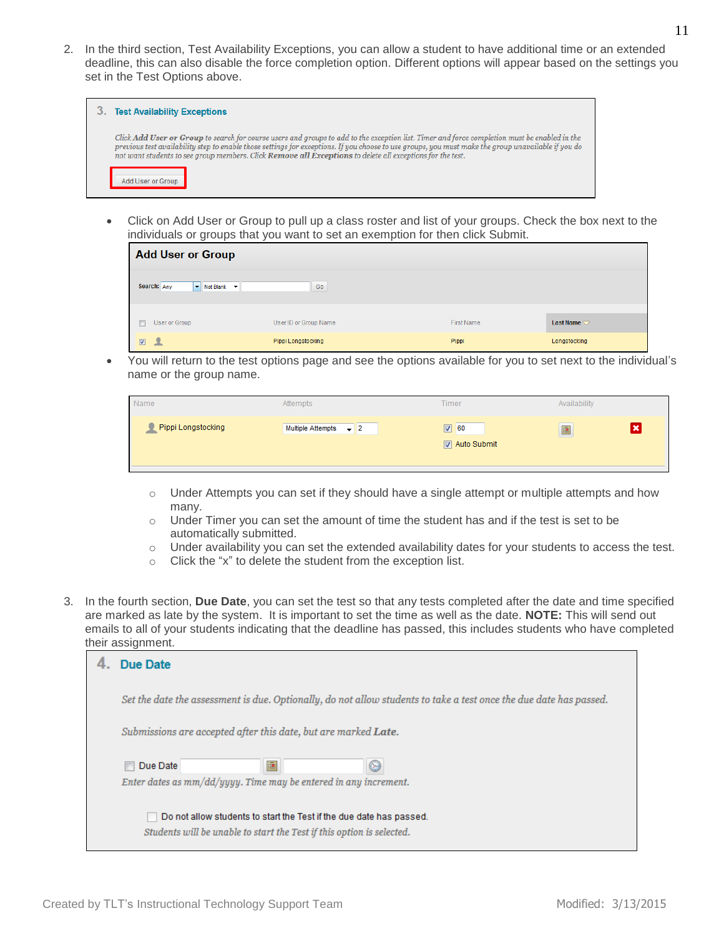2. In the third section, Test Availability Exceptions, you can allow a student to have additional time or an extended deadline, this can also disable the force completion option. Different options will appear based on the settings you set in the Test Options above.

| <b>Test Availability Exceptions</b>                                                                                                                                                                                                                                                                                                                                                                                       |
|---------------------------------------------------------------------------------------------------------------------------------------------------------------------------------------------------------------------------------------------------------------------------------------------------------------------------------------------------------------------------------------------------------------------------|
| Click Add User or Group to search for course users and groups to add to the exception list. Timer and force completion must be enabled in the<br>previous test availability step to enable those settings for exceptions. If you choose to use groups, you must make the group unavailable if you do<br>not want students to see group members. Click <b>Remove all Exceptions</b> to delete all exceptions for the test. |
| Add User or Group                                                                                                                                                                                                                                                                                                                                                                                                         |

 Click on Add User or Group to pull up a class roster and list of your groups. Check the box next to the individuals or groups that you want to set an exemption for then click Submit.

| <b>Add User or Group</b>     |                       |            |                           |
|------------------------------|-----------------------|------------|---------------------------|
| Search: Any<br>V Not Blank V | Go                    |            |                           |
| F<br>User or Group           | User ID or Group Name | First Name | <b>Last Name</b> $\nabla$ |
| ▁<br>$\boxed{\mathbf{v}}$    | Pippi Longstocking    | Pippi      | Longstocking              |

 You will return to the test options page and see the options available for you to set next to the individual's name or the group name.

| Name               | Attempts                          | <b>Timer</b>                    | Availability |  |
|--------------------|-----------------------------------|---------------------------------|--------------|--|
| Pippi Longstocking | Multiple Attempts $\rightarrow$ 2 | $\nabla$ 60<br>圓<br>Auto Submit |              |  |

- $\circ$  Under Attempts you can set if they should have a single attempt or multiple attempts and how many.
- o Under Timer you can set the amount of time the student has and if the test is set to be automatically submitted.
- o Under availability you can set the extended availability dates for your students to access the test.
- o Click the "x" to delete the student from the exception list.
- 3. In the fourth section, **Due Date**, you can set the test so that any tests completed after the date and time specified are marked as late by the system. It is important to set the time as well as the date. **NOTE:** This will send out emails to all of your students indicating that the deadline has passed, this includes students who have completed their assignment.

| Due Date                                                                                                           |  |  |  |  |  |  |
|--------------------------------------------------------------------------------------------------------------------|--|--|--|--|--|--|
| Set the date the assessment is due. Optionally, do not allow students to take a test once the due date has passed. |  |  |  |  |  |  |
| Submissions are accepted after this date, but are marked <b>Late</b> .                                             |  |  |  |  |  |  |
| 匾<br>Due Date                                                                                                      |  |  |  |  |  |  |
| Enter dates as mm/dd/yyyy. Time may be entered in any increment.                                                   |  |  |  |  |  |  |
| Do not allow students to start the Test if the due date has passed.                                                |  |  |  |  |  |  |
| Students will be unable to start the Test if this option is selected.                                              |  |  |  |  |  |  |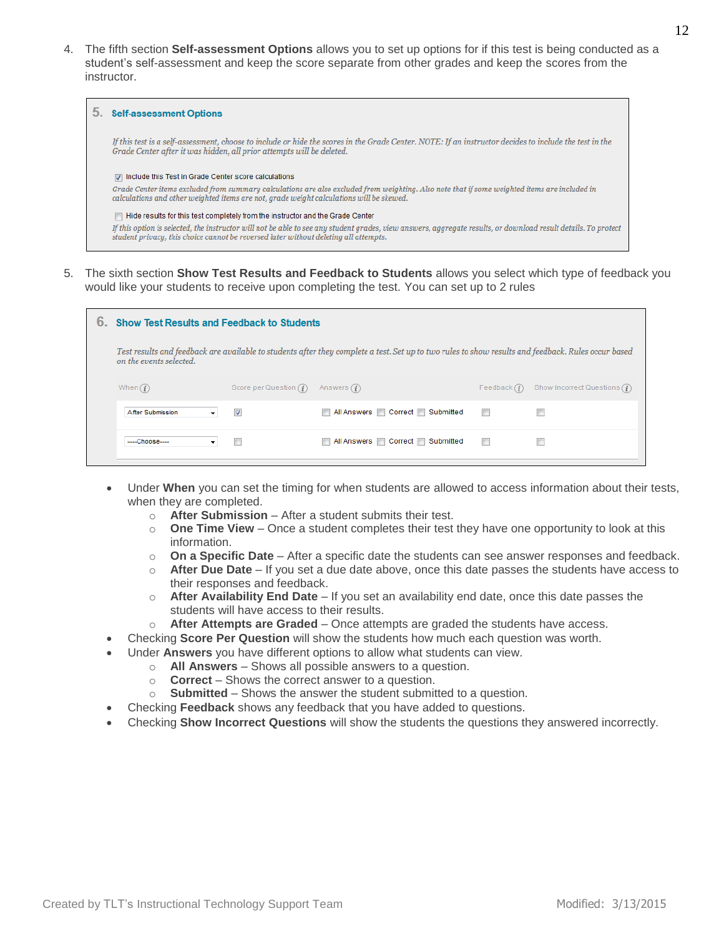4. The fifth section **Self-assessment Options** allows you to set up options for if this test is being conducted as a student's self-assessment and keep the score separate from other grades and keep the scores from the instructor.

| <b>Self-assessment Options</b>                                                                                                                                                                                                                   |  |  |  |  |
|--------------------------------------------------------------------------------------------------------------------------------------------------------------------------------------------------------------------------------------------------|--|--|--|--|
| If this test is a self-assessment, choose to include or hide the scores in the Grade Center. NOTE: If an instructor decides to include the test in the<br>Grade Center after it was hidden, all prior attempts will be deleted.                  |  |  |  |  |
| $\boxed{\mathbb{Z}}$ Include this Test in Grade Center score calculations<br>Grade Center items excluded from summary calculations are also excluded from weighting. Also note that if some weighted items are included in                       |  |  |  |  |
| calculations and other weighted items are not, grade weight calculations will be skewed.                                                                                                                                                         |  |  |  |  |
| Hide results for this test completely from the instructor and the Grade Center<br>If this option is selected, the instructor will not be able to see any student grades, view answers, aggregate results, or download result details. To protect |  |  |  |  |
| student privacy, this choice cannot be reversed later without deleting all attempts.                                                                                                                                                             |  |  |  |  |

5. The sixth section **Show Test Results and Feedback to Students** allows you select which type of feedback you would like your students to receive upon completing the test. You can set up to 2 rules

| б. | <b>Show Test Results and Feedback to Students</b>                                                                                                                              |                          |                               |                          |                                         |
|----|--------------------------------------------------------------------------------------------------------------------------------------------------------------------------------|--------------------------|-------------------------------|--------------------------|-----------------------------------------|
|    | Test results and feedback are available to students after they complete a test. Set up to two rules to show results and feedback. Rules occur based<br>on the events selected. |                          |                               |                          |                                         |
|    | When $(i)$                                                                                                                                                                     | Score per Question $(i)$ | Answers $(i)$                 | Feedback $(i)$           | Show Incorrect Questions $\binom{?}{1}$ |
|    | After Submission<br>▼                                                                                                                                                          | $\blacktriangledown$     | All Answers Correct Submitted | $\overline{\phantom{a}}$ |                                         |
|    | $---Chonese---$<br>▼                                                                                                                                                           | $\Box$                   | All Answers Correct Submitted | $\blacksquare$           |                                         |

- Under **When** you can set the timing for when students are allowed to access information about their tests, when they are completed.
	- o **After Submission** After a student submits their test.
	- $\circ$  **One Time View** Once a student completes their test they have one opportunity to look at this information.
	- o **On a Specific Date** After a specific date the students can see answer responses and feedback.
	- o **After Due Date** If you set a due date above, once this date passes the students have access to their responses and feedback.
	- o **After Availability End Date** If you set an availability end date, once this date passes the students will have access to their results.
	- o **After Attempts are Graded** Once attempts are graded the students have access.
	- Checking **Score Per Question** will show the students how much each question was worth.
- Under **Answers** you have different options to allow what students can view.
	- o **All Answers** Shows all possible answers to a question.
	- o **Correct** Shows the correct answer to a question.
	- o **Submitted** Shows the answer the student submitted to a question.
- Checking **Feedback** shows any feedback that you have added to questions.
- Checking **Show Incorrect Questions** will show the students the questions they answered incorrectly.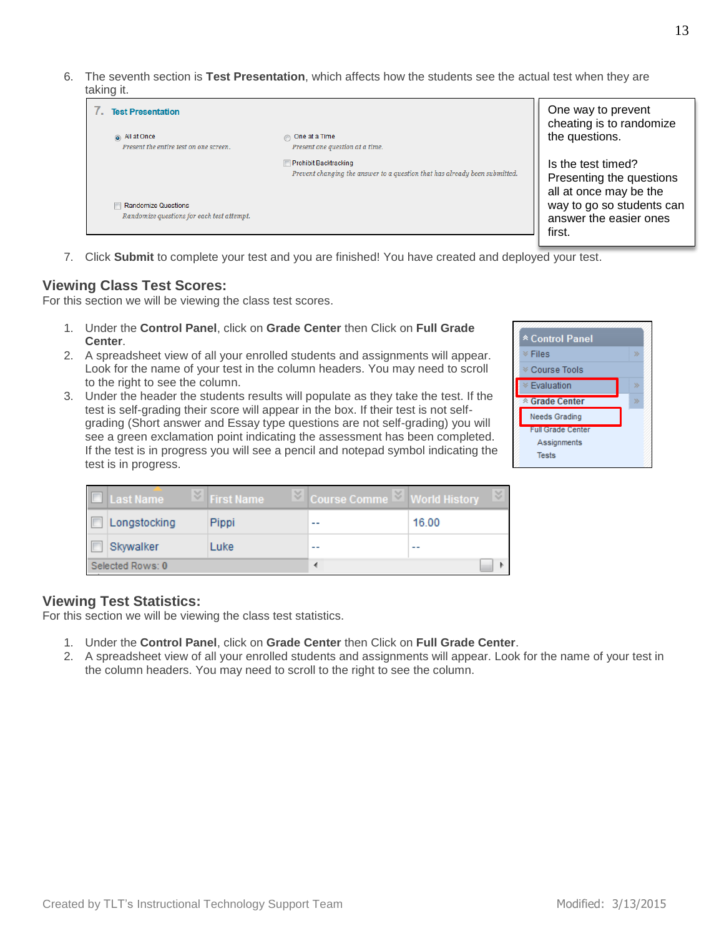6. The seventh section is **Test Presentation**, which affects how the students see the actual test when they are taking it.



7. Click **Submit** to complete your test and you are finished! You have created and deployed your test.

## **Viewing Class Test Scores:**

For this section we will be viewing the class test scores.

- 1. Under the **Control Panel**, click on **Grade Center** then Click on **Full Grade Center**.
- 2. A spreadsheet view of all your enrolled students and assignments will appear. Look for the name of your test in the column headers. You may need to scroll to the right to see the column.
- 3. Under the header the students results will populate as they take the test. If the test is self-grading their score will appear in the box. If their test is not selfgrading (Short answer and Essay type questions are not self-grading) you will see a green exclamation point indicating the assessment has been completed. If the test is in progress you will see a pencil and notepad symbol indicating the test is in progress.



| <b>Last Name</b> | <b>Eirst Name</b> | $\boxtimes$ Course Comme $\boxtimes$ World History | ४।    |
|------------------|-------------------|----------------------------------------------------|-------|
| Longstocking     | Pippi             | --                                                 | 16.00 |
| Skywalker        | Luke              | --                                                 | $ -$  |
| Selected Rows: 0 |                   |                                                    |       |

#### **Viewing Test Statistics:**

For this section we will be viewing the class test statistics.

- 1. Under the **Control Panel**, click on **Grade Center** then Click on **Full Grade Center**.
- 2. A spreadsheet view of all your enrolled students and assignments will appear. Look for the name of your test in the column headers. You may need to scroll to the right to see the column.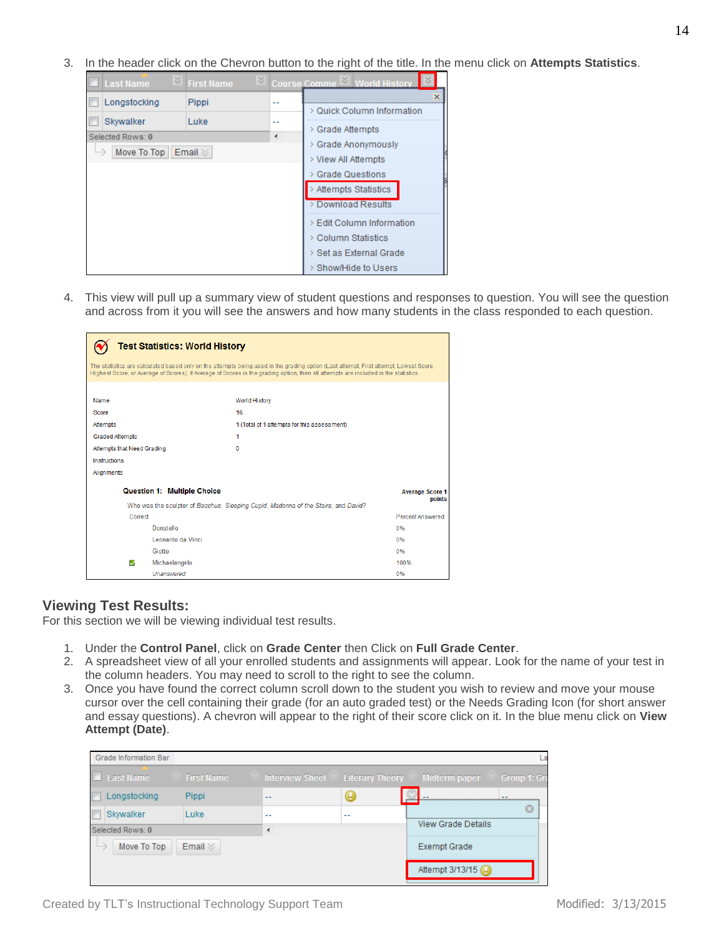3. In the header click on the Chevron button to the right of the title. In the menu click on **Attempts Statistics**.



4. This view will pull up a summary view of student questions and responses to question. You will see the question and across from it you will see the answers and how many students in the class responded to each question.

| <b>Test Statistics: World History</b>                                                                                                                                                                                                                                        |                                                                                    |                                  |  |  |
|------------------------------------------------------------------------------------------------------------------------------------------------------------------------------------------------------------------------------------------------------------------------------|------------------------------------------------------------------------------------|----------------------------------|--|--|
| The statistics are calculated based only on the attempts being used in the grading option (Last attempt, First attempt, Lowest Score,<br>Highest Score, or Average of Scores). If Average of Scores is the grading option, then all attempts are included in the statistics. |                                                                                    |                                  |  |  |
| Name                                                                                                                                                                                                                                                                         | <b>World History</b>                                                               |                                  |  |  |
| Score                                                                                                                                                                                                                                                                        | 16                                                                                 |                                  |  |  |
| Attempts                                                                                                                                                                                                                                                                     | 1 (Total of 1 attempts for this assessment)                                        |                                  |  |  |
| <b>Graded Attempts</b>                                                                                                                                                                                                                                                       | 1                                                                                  |                                  |  |  |
| Attempts that Need Grading                                                                                                                                                                                                                                                   | 0                                                                                  |                                  |  |  |
| Instructions                                                                                                                                                                                                                                                                 |                                                                                    |                                  |  |  |
| <b>Alignments</b>                                                                                                                                                                                                                                                            |                                                                                    |                                  |  |  |
| <b>Question 1: Multiple Choice</b>                                                                                                                                                                                                                                           |                                                                                    | <b>Average Score 1</b><br>points |  |  |
|                                                                                                                                                                                                                                                                              | Who was the sculptor of Bacchus, Sleeping Cupid, Madonna of the Stairs, and David? |                                  |  |  |
| Correct                                                                                                                                                                                                                                                                      |                                                                                    | <b>Percent Answered</b>          |  |  |
| Donatello                                                                                                                                                                                                                                                                    |                                                                                    | 0%                               |  |  |
| Leonardo da Vinci                                                                                                                                                                                                                                                            |                                                                                    | 0%                               |  |  |
| Giotto                                                                                                                                                                                                                                                                       |                                                                                    | 0%                               |  |  |
| ☑<br>Michaelangelo                                                                                                                                                                                                                                                           |                                                                                    | 100%                             |  |  |
| Unanswered                                                                                                                                                                                                                                                                   |                                                                                    | 0%                               |  |  |

#### **Viewing Test Results:**

For this section we will be viewing individual test results.

- 1. Under the **Control Panel**, click on **Grade Center** then Click on **Full Grade Center**.
- 2. A spreadsheet view of all your enrolled students and assignments will appear. Look for the name of your test in the column headers. You may need to scroll to the right to see the column.
- 3. Once you have found the correct column scroll down to the student you wish to review and move your mouse cursor over the cell containing their grade (for an auto graded test) or the Needs Grading Icon (for short answer and essay questions). A chevron will appear to the right of their score click on it. In the blue menu click on **View Attempt (Date)**.

|                                                    | Grade Information Bar |                   |    |                     |                                                                  |  |
|----------------------------------------------------|-----------------------|-------------------|----|---------------------|------------------------------------------------------------------|--|
|                                                    | $\Box$ Last Name      | <b>First Name</b> |    |                     | Interview Sheet Y Literary Theory Y Midterm paper Y Group 1: Gro |  |
|                                                    | Longstocking          | <b>Pippi</b>      | -- |                     | 12222223                                                         |  |
|                                                    | Skywalker             | Luke              | -- | $ -$                |                                                                  |  |
| Selected Rows: 0                                   |                       |                   |    | View Grade Details  |                                                                  |  |
| Move To Top<br>Email $\mathbb{Z}$<br>1, 1, 1, 1, 2 |                       |                   |    | <b>Exempt Grade</b> |                                                                  |  |
|                                                    |                       |                   |    |                     | Attempt 3/13/15                                                  |  |